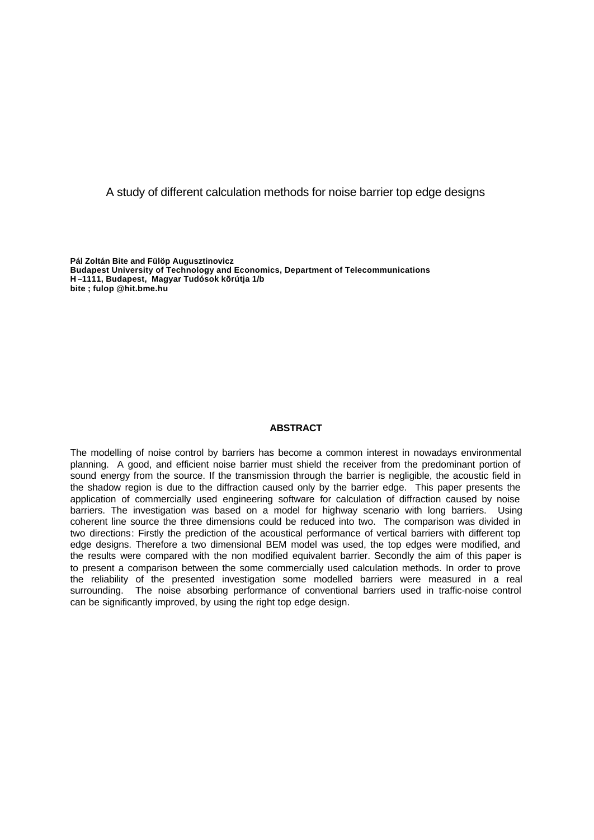# A study of different calculation methods for noise barrier top edge designs

**Pál Zoltán Bite and Fülöp Augusztinovicz Budapest University of Technology and Economics, Department of Telecommunications H –1111, Budapest, Magyar Tudósok kõrútja 1/b bite ; fulop @hit.bme.hu**

#### **ABSTRACT**

The modelling of noise control by barriers has become a common interest in nowadays environmental planning. A good, and efficient noise barrier must shield the receiver from the predominant portion of sound energy from the source. If the transmission through the barrier is negligible, the acoustic field in the shadow region is due to the diffraction caused only by the barrier edge. This paper presents the application of commercially used engineering software for calculation of diffraction caused by noise barriers. The investigation was based on a model for highway scenario with long barriers. Using coherent line source the three dimensions could be reduced into two. The comparison was divided in two directions: Firstly the prediction of the acoustical performance of vertical barriers with different top edge designs. Therefore a two dimensional BEM model was used, the top edges were modified, and the results were compared with the non modified equivalent barrier. Secondly the aim of this paper is to present a comparison between the some commercially used calculation methods. In order to prove the reliability of the presented investigation some modelled barriers were measured in a real surrounding. The noise absorbing performance of conventional barriers used in traffic-noise control can be significantly improved, by using the right top edge design.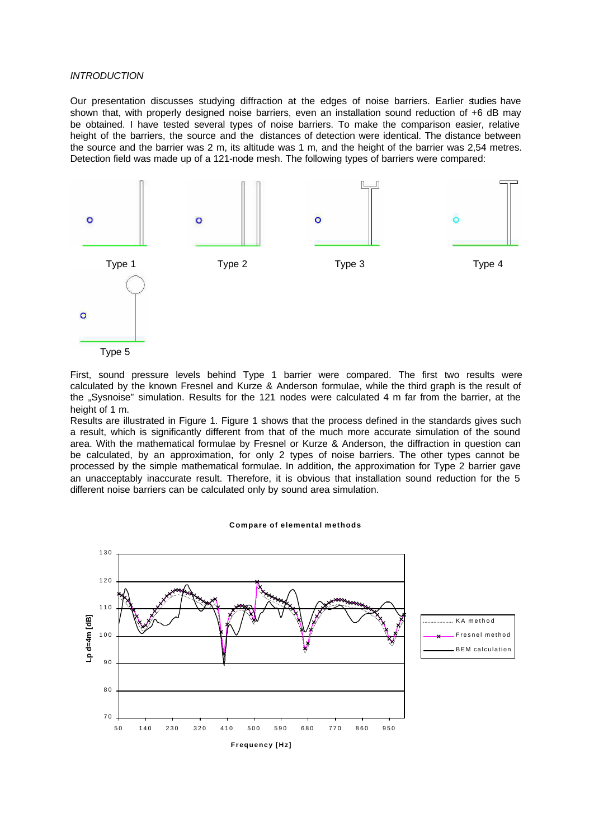## *INTRODUCTION*

Our presentation discusses studying diffraction at the edges of noise barriers. Earlier studies have shown that, with properly designed noise barriers, even an installation sound reduction of +6 dB may be obtained. I have tested several types of noise barriers. To make the comparison easier, relative height of the barriers, the source and the distances of detection were identical. The distance between the source and the barrier was 2 m, its altitude was 1 m, and the height of the barrier was 2,54 metres. Detection field was made up of a 121-node mesh. The following types of barriers were compared:





Results are illustrated in Figure 1. Figure 1 shows that the process defined in the standards gives such a result, which is significantly different from that of the much more accurate simulation of the sound area. With the mathematical formulae by Fresnel or Kurze & Anderson, the diffraction in question can be calculated, by an approximation, for only 2 types of noise barriers. The other types cannot be processed by the simple mathematical formulae. In addition, the approximation for Type 2 barrier gave an unacceptably inaccurate result. Therefore, it is obvious that installation sound reduction for the 5 different noise barriers can be calculated only by sound area simulation.

#### **Compare of elemental methods**

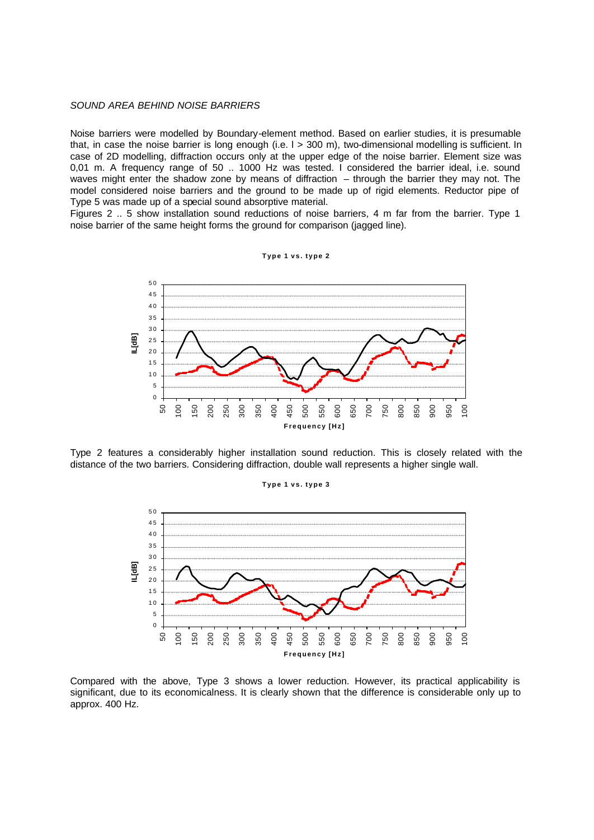## *SOUND AREA BEHIND NOISE BARRIERS*

Noise barriers were modelled by Boundary-element method. Based on earlier studies, it is presumable that, in case the noise barrier is long enough (i.e. l > 300 m), two-dimensional modelling is sufficient. In case of 2D modelling, diffraction occurs only at the upper edge of the noise barrier. Element size was 0,01 m. A frequency range of 50 .. 1000 Hz was tested. I considered the barrier ideal, i.e. sound waves might enter the shadow zone by means of diffraction – through the barrier they may not. The model considered noise barriers and the ground to be made up of rigid elements. Reductor pipe of Type 5 was made up of a special sound absorptive material.

Figures 2 .. 5 show installation sound reductions of noise barriers, 4 m far from the barrier. Type 1 noise barrier of the same height forms the ground for comparison (jagged line).



Type 2 features a considerably higher installation sound reduction. This is closely related with the distance of the two barriers. Considering diffraction, double wall represents a higher single wall.

#### **Type 1 vs. type 3**



Compared with the above, Type 3 shows a lower reduction. However, its practical applicability is significant, due to its economicalness. It is clearly shown that the difference is considerable only up to approx. 400 Hz.

**Type 1 vs. type 2**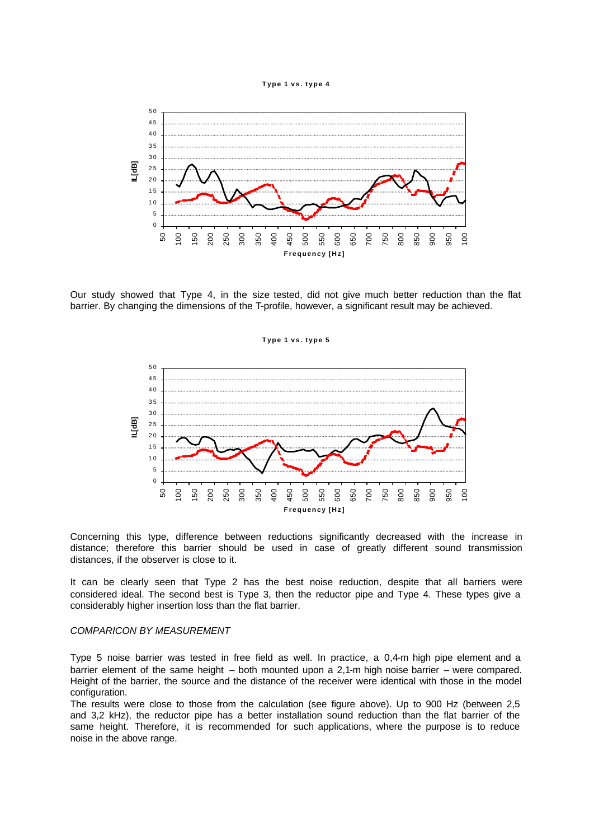



Our study showed that Type 4, in the size tested, did not give much better reduction than the flat barrier. By changing the dimensions of the T-profile, however, a significant result may be achieved.

**Type 1 vs. type 5**



Concerning this type, difference between reductions significantly decreased with the increase in distance; therefore this barrier should be used in case of greatly different sound transmission distances, if the observer is close to it.

It can be clearly seen that Type 2 has the best noise reduction, despite that all barriers were considered ideal. The second best is Type 3, then the reductor pipe and Type 4. These types give a considerably higher insertion loss than the flat barrier.

## *COMPARICON BY MEASUREMENT*

Type 5 noise barrier was tested in free field as well. In practice, a 0,4-m high pipe element and a barrier element of the same height – both mounted upon a 2,1-m high noise barrier – were compared. Height of the barrier, the source and the distance of the receiver were identical with those in the model configuration.

The results were close to those from the calculation (see figure above). Up to 900 Hz (between 2,5 and 3,2 kHz), the reductor pipe has a better installation sound reduction than the flat barrier of the same height. Therefore, it is recommended for such applications, where the purpose is to reduce noise in the above range.